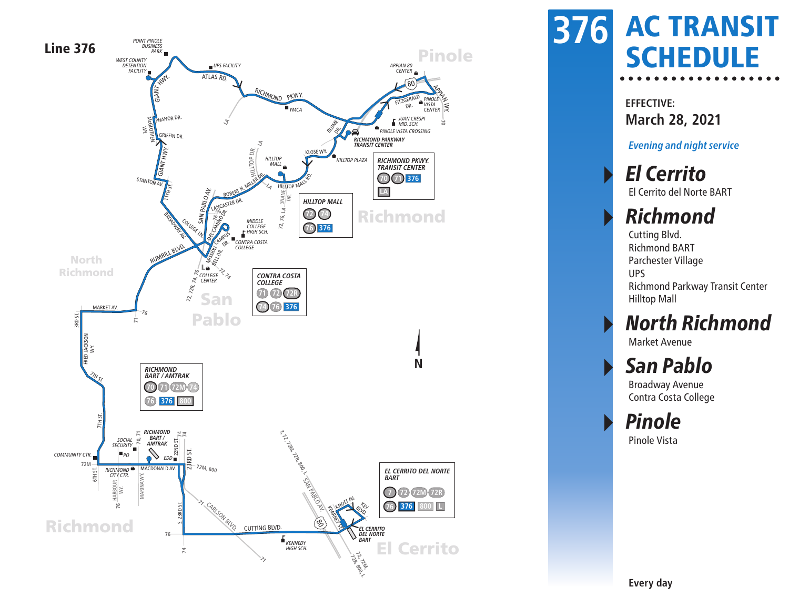

#### AC TRANSIT **376 SCHEDULE**

**EFFECTIVE: March 28, 2021**

**Evening and night service**

#### ▸ El Cerrito El Cerrito del Norte BART

#### **Richmond**

Cutting Blvd. Richmond BART Parchester Village UPS Richmond Parkway Transit Center Hilltop Mall

#### **North Richmond**

Market Avenue

#### San Pablo

Broadway Avenue Contra Costa College

**Pinole** Pinole Vista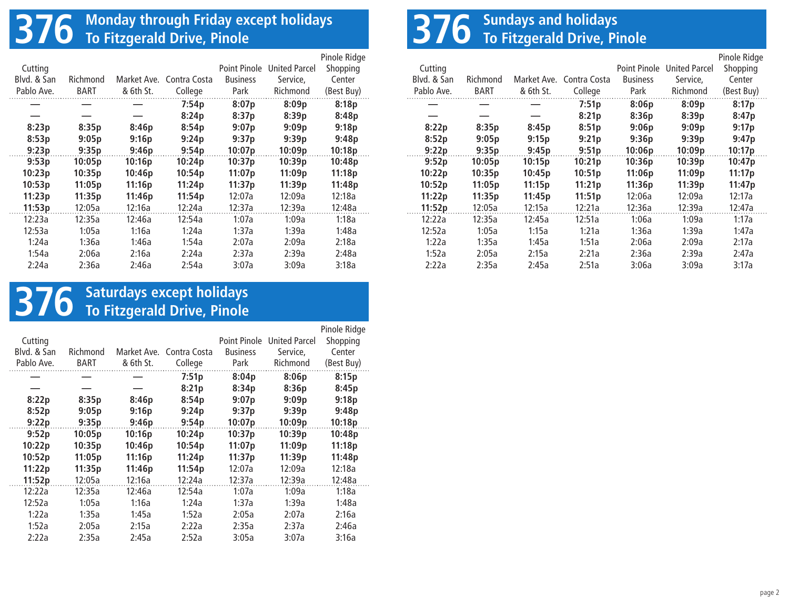# **376 Monday through Friday except holidays To Fitzgerald Drive, Pinole**

|             |             |             |              |                 |                      | Pinole Ridge |
|-------------|-------------|-------------|--------------|-----------------|----------------------|--------------|
| Cutting     |             |             |              | Point Pinole    | <b>United Parcel</b> | Shopping     |
| Blyd. & San | Richmond    | Market Ave. | Contra Costa | <b>Business</b> | Service.             | Center       |
| Pablo Ave.  | <b>BART</b> | & 6th St.   | College      | Park            | Richmond             | (Best Buy)   |
|             |             |             | 7:54p        | 8:07p           | 8:09p                | 8:18p        |
|             |             |             | 8:24p        | 8:37p           | 8:39p                | 8:48p        |
| 8:23p       | 8:35p       | 8:46p       | 8:54p        | 9:07p           | 9:09p                | 9:18p        |
| 8:53p       | 9:05p       | 9:16p       | 9:24p        | 9:37p           | 9:39p                | 9:48p        |
| 9:23p       | 9:35p       | 9:46p       | 9:54p        | 10:07p          | 10:09p               | 10:18p       |
| 9:53p       | 10:05p      | 10:16p      | 10:24p       | 10:37p          | 10:39p               | 10:48p       |
| 10:23p      | 10:35p      | 10:46p      | 10:54p       | 11:07p          | 11:09p               | 11:18p       |
| 10:53p      | 11:05p      | 11:16p      | 11:24p       | 11:37p          | 11:39p               | 11:48p       |
| 11:23p      | 11:35p      | 11:46p      | 11:54p       | 12:07a          | 12:09a               | 12:18a       |
| 11:53p      | 12:05a      | 12:16a      | 12:24a       | 12:37a          | 12:39a               | 12:48a       |
| 12:23a      | 12:35a      | 12:46a      | 12:54a       | 1:07a           | 1:09a                | 1:18a        |
| 12:53a      | 1:05a       | 1:16a       | 1:24a        | 1:37a           | 1:39a                | 1:48a        |
| 1:24a       | 1:36a       | 1:46a       | 1:54a        | 2:07a           | 2:09a                | 2:18a        |
| 1:54a       | 2:06a       | 2:16a       | 2:24a        | 2:37a           | 2:39a                | 2:48a        |
| 2:24a       | 2:36a       | 2:46a       | 2:54a        | 3:07a           | 3:09a                | 3:18a        |

## **376 Sundays and holidays To Fitzgerald Drive, Pinole**

|             |             |           |                          |                 |                      | Pinole Ridge |
|-------------|-------------|-----------|--------------------------|-----------------|----------------------|--------------|
| Cutting     |             |           |                          | Point Pinole    | <b>United Parcel</b> | Shopping     |
| Blyd. & San | Richmond    |           | Market Ave. Contra Costa | <b>Business</b> | Service,             | Center       |
| Pablo Ave.  | <b>BART</b> | & 6th St. | College                  | Park            | Richmond             | (Best Buy)   |
|             |             |           | 7:51p                    | 8:06p           | 8:09p                | 8:17p        |
|             |             |           | 8:21p                    | 8:36p           | 8:39p                | 8:47p        |
| 8:22p       | 8:35p       | 8:45p     | 8:51p                    | 9:06p           | 9:09p                | 9:17p        |
| 8:52p       | 9:05p       | 9:15p     | 9:21p                    | 9:36p           | 9:39p                | 9:47p        |
| 9:22p       | 9:35p       | 9:45p     | 9:51p                    | 10:06p          | 10:09p               | 10:17p       |
| 9:52p       | 10:05p      | 10:15p    | 10:21p                   | 10:36p          | 10:39p               | 10:47p       |
| 10:22p      | 10:35p      | 10:45p    | 10:51p                   | 11:06p          | 11:09p               | 11:17p       |
| 10:52p      | 11:05p      | 11:15p    | 11:21p                   | 11:36p          | 11:39p               | 11:47p       |
| 11:22p      | 11:35p      | 11:45p    | 11:51p                   | 12:06a          | 12:09a               | 12:17a       |
| 11:52p      | 12:05a      | 12:15a    | 12:21a                   | 12:36a          | 12:39a               | 12:47a       |
| 12:22a      | 12:35a      | 12:45a    | 12:51a                   | 1:06a           | 1:09a                | 1:17a        |
| 12:52a      | 1:05a       | 1:15a     | 1:21a                    | 1:36a           | 1:39a                | 1:47a        |
| 1:22a       | 1:35a       | 1:45a     | 1:51a                    | 2:06a           | 2:09a                | 2:17a        |
| 1:52a       | 2:05a       | 2:15a     | 2:21a                    | 2:36a           | 2:39a                | 2:47a        |
| 2:22a       | 2:35a       | 2:45a     | 2:51a                    | 3:06a           | 3:09a                | 3:17a        |

# **376 Saturdays except holidays To Fitzgerald Drive, Pinole**

| Cutting     |             |             |              | Point Pinole    | <b>United Parcel</b> | Pinole Ridge<br>Shopping |
|-------------|-------------|-------------|--------------|-----------------|----------------------|--------------------------|
| Blyd. & San | Richmond    | Market Ave. | Contra Costa | <b>Business</b> | Service,             | Center                   |
| Pablo Ave.  | <b>BART</b> | & 6th St.   | College      | Park            | Richmond             | (Best Buy)               |
|             |             |             | 7:51p        | 8:04p           | 8:06p                | 8:15p                    |
|             |             |             | 8:21p        | 8:34p           | 8:36p                | 8:45p                    |
| 8:22p       | 8:35p       | 8:46p       | 8:54p        | 9:07p           | 9:09p                | 9:18p                    |
| 8:52p       | 9:05p       | 9:16p       | 9:24p        | 9:37p           | 9:39p                | 9:48p                    |
| 9:22p       | 9:35p       | 9:46p       | 9:54p        | 10:07p          | 10:09p               | 10:18p                   |
| 9:52p       | 10:05p      | 10:16p      | 10:24p       | 10:37p          | 10:39p               | 10:48p                   |
| 10:22p      | 10:35p      | 10:46p      | 10:54p       | 11:07p          | 11:09p               | 11:18p                   |
| 10:52p      | 11:05p      | 11:16p      | 11:24p       | 11:37p          | 11:39p               | 11:48p                   |
| 11:22p      | 11:35p      | 11:46p      | 11:54p       | 12:07a          | 12:09a               | 12:18a                   |
| 11:52p      | 12:05a      | 12:16a      | 12:24a       | 12:37a          | 12:39a               | 12:48a                   |
| 12:22a      | 12:35a      | 12:46a      | 12:54a       | 1:07a           | 1:09a                | 1:18a                    |
| 12:52a      | 1:05a       | 1:16a       | 1:24a        | 1:37a           | 1:39a                | 1:48a                    |
| 1:22a       | 1:35a       | 1:45a       | 1:52a        | 2:05a           | 2:07a                | 2:16a                    |
| 1:52a       | 2:05a       | 2:15a       | 2:22a        | 2:35a           | 2:37a                | 2:46a                    |
| 2:22a       | 2:35a       | 2:45a       | 2:52a        | 3:05a           | 3:07a                | 3:16a                    |
|             |             |             |              |                 |                      |                          |